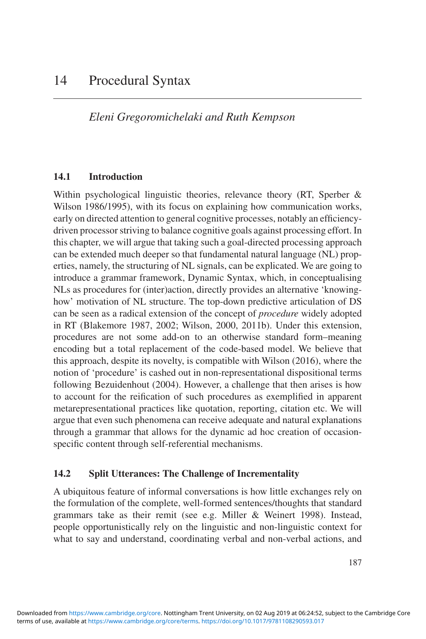# *Eleni Gregoromichelaki and Ruth Kempson*

## **14.1 Introduction**

 Within psychological linguistic theories, relevance theory (RT, Sperber & Wilson 1986/1995), with its focus on explaining how communication works, early on directed attention to general cognitive processes, notably an efficiencydriven processor striving to balance cognitive goals against processing effort. In this chapter, we will argue that taking such a goal- directed processing approach can be extended much deeper so that fundamental natural language (NL) properties, namely, the structuring of NL signals, can be explicated. We are going to introduce a grammar framework, Dynamic Syntax, which, in conceptualising NLs as procedures for (inter)action, directly provides an alternative 'knowinghow' motivation of NL structure. The top-down predictive articulation of DS can be seen as a radical extension of the concept of *procedure* widely adopted in RT (Blakemore 1987, 2002; Wilson, 2000, 2011b). Under this extension, procedures are not some add-on to an otherwise standard form–meaning encoding but a total replacement of the code- based model. We believe that this approach, despite its novelty, is compatible with Wilson (2016), where the notion of 'procedure' is cashed out in non- representational dispositional terms following Bezuidenhout (2004). However, a challenge that then arises is how to account for the reification of such procedures as exemplified in apparent metarepresentational practices like quotation, reporting, citation etc. We will argue that even such phenomena can receive adequate and natural explanations through a grammar that allows for the dynamic ad hoc creation of occasionspecific content through self-referential mechanisms.

## **14.2 Split Utterances: The Challenge of Incrementality**

 A ubiquitous feature of informal conversations is how little exchanges rely on the formulation of the complete, well-formed sentences/thoughts that standard grammars take as their remit (see e.g. Miller & Weinert 1998). Instead, people opportunistically rely on the linguistic and non- linguistic context for what to say and understand, coordinating verbal and non- verbal actions, and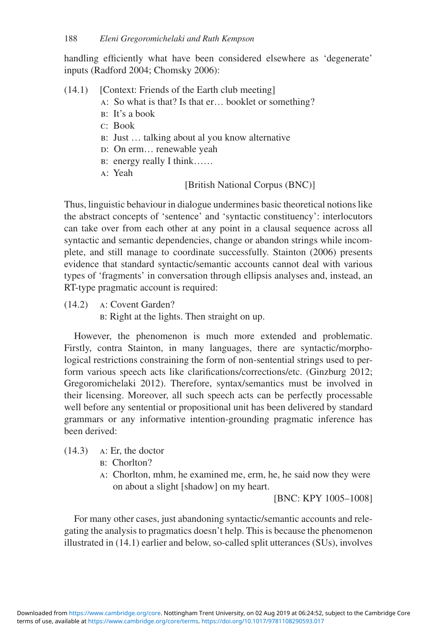handling efficiently what have been considered elsewhere as 'degenerate' inputs (Radford 2004; Chomsky 2006):

## (14.1) [Context: Friends of the Earth club meeting]

- A: So what is that? Is that er… booklet or something?
- B: It's a book
- C: Book
- B: Just … talking about al you know alternative
- D: On erm… renewable yeah
- B: energy really I think……
- A: Yeah

## [British National Corpus (BNC)]

 Thus, linguistic behaviour in dialogue undermines basic theoretical notions like the abstract concepts of 'sentence' and 'syntactic constituency ': interlocutors can take over from each other at any point in a clausal sequence across all syntactic and semantic dependencies, change or abandon strings while incomplete, and still manage to coordinate successfully. Stainton (2006) presents evidence that standard syntactic/semantic accounts cannot deal with various types of 'fragments ' in conversation through ellipsis analyses and, instead, an RT-type pragmatic account is required:

(14.2) A: Covent Garden?

B: Right at the lights. Then straight on up.

 However, the phenomenon is much more extended and problematic. Firstly, contra Stainton, in many languages, there are syntactic/morphological restrictions constraining the form of non- sentential strings used to perform various speech acts like clarifications/ corrections/ etc. (Ginzburg 2012; Gregoromichelaki 2012). Therefore, syntax/semantics must be involved in their licensing. Moreover, all such speech acts can be perfectly processable well before any sentential or propositional unit has been delivered by standard grammars or any informative intention - grounding pragmatic inference has been derived:

- $(14.3)$  A: Er, the doctor
	- B: Chorlton?
	- A: Chorlton, mhm, he examined me, erm, he, he said now they were on about a slight [shadow] on my heart.

[BNC: KPY 1005-1008]

For many other cases, just abandoning syntactic/semantic accounts and relegating the analysis to pragmatics doesn't help. This is because the phenomenon illustrated in (14.1) earlier and below, so-called split utterances (SUs), involves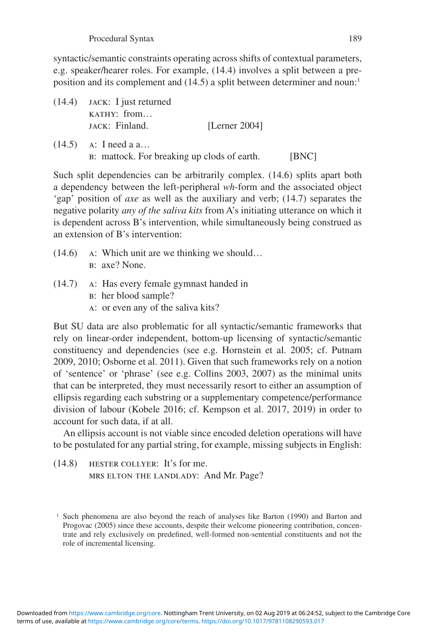syntactic/semantic constraints operating across shifts of contextual parameters, e.g. speaker/hearer roles. For example,  $(14.4)$  involves a split between a preposition and its complement and (14.5) a split between determiner and noun:<sup>1</sup>

|  | $(14.4)$ JACK: I just returned<br>KATHY: from                         |                  |             |
|--|-----------------------------------------------------------------------|------------------|-------------|
|  | JACK: Finland.                                                        | [Lerner $2004$ ] |             |
|  | $(14.5)$ A: I need a a<br>B: mattock. For breaking up clods of earth. |                  | <b>BNCI</b> |

Such split dependencies can be arbitrarily complex. (14.6) splits apart both a dependency between the left-peripheral *wh*-form and the associated object 'gap' position of *axe* as well as the auxiliary and verb; ( 14.7 ) separates the negative polarity *any of the saliva kits* from A's initiating utterance on which it is dependent across B's intervention, while simultaneously being construed as an extension of B's intervention:

- (14.6) A: Which unit are we thinking we should… B: axe? None.
- (14.7) A: Has every female gymnast handed in B: her blood sample? A: or even any of the saliva kits?

But SU data are also problematic for all syntactic/semantic frameworks that rely on linear-order independent, bottom-up licensing of syntactic/semantic constituency and dependencies (see e.g. Hornstein et al. 2005; cf. Putnam 2009, 2010; Osborne et al. 2011). Given that such frameworks rely on a notion of 'sentence' or 'phrase' (see e.g. Collins 2003 , 2007 ) as the minimal units that can be interpreted, they must necessarily resort to either an assumption of ellipsis regarding each substring or a supplementary competence/performance division of labour (Kobele 2016; cf. Kempson et al. 2017, 2019) in order to account for such data, if at all.

 An ellipsis account is not viable since encoded deletion operations will have to be postulated for any partial string, for example, missing subjects in English:

 (14.8) Hester Collyer: It's for me. Mrs Elton the landlady: And Mr. Page?

<sup>&</sup>lt;sup>1</sup> Such phenomena are also beyond the reach of analyses like Barton (1990) and Barton and Progovac (2005) since these accounts, despite their welcome pioneering contribution, concentrate and rely exclusively on predefined, well-formed non-sentential constituents and not the role of incremental licensing.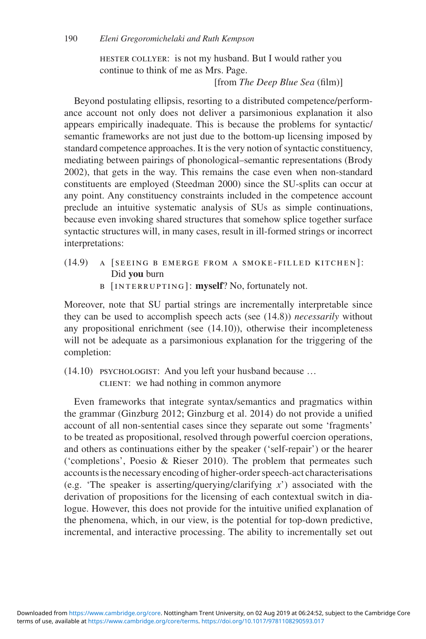HESTER COLLYER: is not my husband. But I would rather you continue to think of me as Mrs. Page.

[from *The Deep Blue Sea* (film)]

Beyond postulating ellipsis, resorting to a distributed competence/performance account not only does not deliver a parsimonious explanation it also appears empirically inadequate. This is because the problems for syntactic/ semantic frameworks are not just due to the bottom-up licensing imposed by standard competence approaches. It is the very notion of syntactic constituency, mediating between pairings of phonological– semantic representations (Brody 2002), that gets in the way. This remains the case even when non-standard constituents are employed (Steedman 2000) since the SU-splits can occur at any point. Any constituency constraints included in the competence account preclude an intuitive systematic analysis of SUs as simple continuations, because even invoking shared structures that somehow splice together surface syntactic structures will, in many cases, result in ill-formed strings or incorrect interpretations:

- (14.9) A [seeing B emerge from a smoke- filled kitchen]: Did **you** burn
	- B [INTERRUPTING]: myself? No, fortunately not.

 Moreover, note that SU partial strings are incrementally interpretable since they can be used to accomplish speech acts (see ( 14.8 )) *necessarily* without any propositional enrichment (see  $(14.10)$ ), otherwise their incompleteness will not be adequate as a parsimonious explanation for the triggering of the completion:

 (14.10) Psychologist: And you left your husband because … Client: we had nothing in common anymore

Even frameworks that integrate syntax/semantics and pragmatics within the grammar (Ginzburg 2012; Ginzburg et al. 2014) do not provide a unified account of all non- sentential cases since they separate out some 'fragments' to be treated as propositional, resolved through powerful coercion operations, and others as continuations either by the speaker ('self-repair') or the hearer ('completions', Poesio & Rieser 2010). The problem that permeates such accounts is the necessary encoding of higher- order speech- act characterisations (e.g. 'The speaker is asserting/ $querying/ clarifying x'$ ) associated with the derivation of propositions for the licensing of each contextual switch in dialogue. However, this does not provide for the intuitive unified explanation of the phenomena, which, in our view, is the potential for top- down predictive, incremental, and interactive processing. The ability to incrementally set out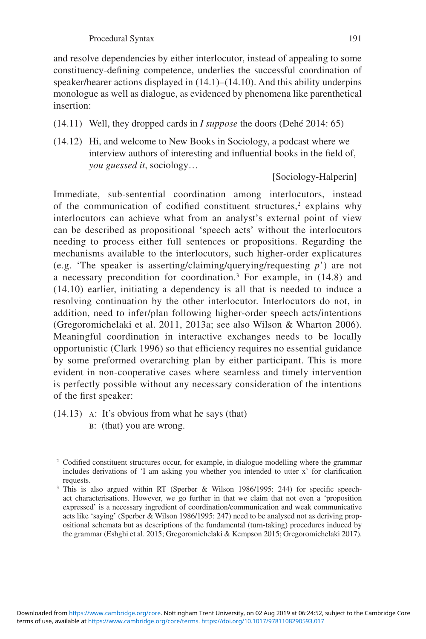and resolve dependencies by either interlocutor, instead of appealing to some constituency-defining competence, underlies the successful coordination of speaker/hearer actions displayed in  $(14.1)$ – $(14.10)$ . And this ability underpins monologue as well as dialogue, as evidenced by phenomena like parenthetical insertion:

- (14.11) Well, they dropped cards in *I suppose* the doors (Dehé 2014 : 65)
- (14.12) Hi, and welcome to New Books in Sociology, a podcast where we interview authors of interesting and influential books in the field of, *you guessed it, sociology*...

[Sociology-Halperin]

 Immediate, sub- sentential coordination among interlocutors, instead of the communication of codified constituent structures,<sup>2</sup> explains why interlocutors can achieve what from an analyst's external point of view can be described as propositional 'speech acts' without the interlocutors needing to process either full sentences or propositions. Regarding the mechanisms available to the interlocutors, such higher-order explicatures (e.g. 'The speaker is asserting/claiming/ querying/ requesting  $p'$ ) are not a necessary precondition for coordination.<sup>3</sup> For example, in  $(14.8)$  and  $(14.10)$  earlier, initiating a dependency is all that is needed to induce a resolving continuation by the other interlocutor. Interlocutors do not, in addition, need to infer/plan following higher-order speech acts/intentions (Gregoromichelaki et al. 2011, 2013a; see also Wilson & Wharton 2006). Meaningful coordination in interactive exchanges needs to be locally opportunistic (Clark 1996) so that efficiency requires no essential guidance by some preformed overarching plan by either participant. This is more evident in non-cooperative cases where seamless and timely intervention is perfectly possible without any necessary consideration of the intentions of the first speaker:

 (14.13) A: It's obvious from what he says (that) B: (that) you are wrong.

<sup>&</sup>lt;sup>2</sup> Codified constituent structures occur, for example, in dialogue modelling where the grammar includes derivations of  $\mathcal{I}$  am asking you whether you intended to utter x' for clarification requests.

<sup>&</sup>lt;sup>3</sup> This is also argued within RT (Sperber & Wilson 1986/1995: 244) for specific speechact characterisations. However, we go further in that we claim that not even a 'proposition expressed' is a necessary ingredient of coordination/ communication and weak communicative acts like 'saying' (Sperber & Wilson 1986/1995: 247) need to be analysed not as deriving propositional schemata but as descriptions of the fundamental (turn-taking) procedures induced by the grammar (Eshghi et al. 2015 ; Gregoromichelaki & Kempson 2015 ; Gregoromichelaki 2017 ).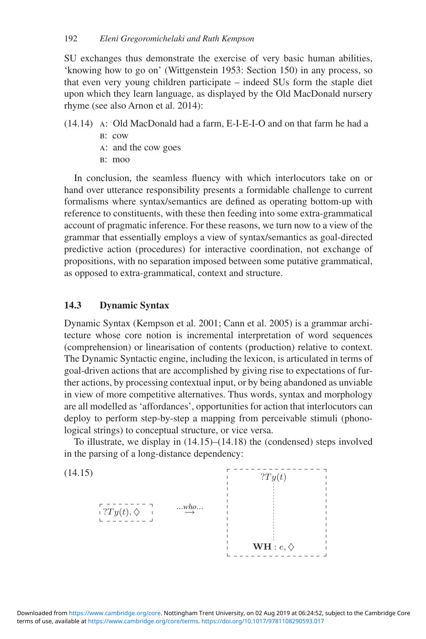SU exchanges thus demonstrate the exercise of very basic human abilities, 'knowing how to go on' (Wittgenstein 1953: Section 150) in any process, so that even very young children participate – indeed SUs form the staple diet upon which they learn language, as displayed by the Old MacDonald nursery rhyme (see also Arnon et al. 2014):

- (14.14) A: Old MacDonald had a farm, E-I-E-I-O and on that farm he had a B: cow
	- A: and the cow goes
	- B: moo

In conclusion, the seamless fluency with which interlocutors take on or hand over utterance responsibility presents a formidable challenge to current formalisms where syntax/semantics are defined as operating bottom-up with reference to constituents, with these then feeding into some extra- grammatical account of pragmatic inference . For these reasons, we turn now to a view of the grammar that essentially employs a view of syntax/semantics as goal-directed predictive action ( procedures) for interactive coordination, not exchange of propositions, with no separation imposed between some putative grammatical, as opposed to extra-grammatical, context and structure.

## **14.3 Dynamic Syntax**

Dynamic Syntax (Kempson et al. 2001; Cann et al. 2005) is a grammar architecture whose core notion is incremental interpretation of word sequences (comprehension) or linearisation of contents (production) relative to context. The Dynamic Syntactic engine, including the lexicon, is articulated in terms of goal- driven actions that are accomplished by giving rise to expectations of further actions, by processing contextual input, or by being abandoned as unviable in view of more competitive alternatives. Thus words, syntax and morphology are all modelled as 'affordances', opportunities for action that interlocutors can deploy to perform step-by-step a mapping from perceivable stimuli (phonological strings) to conceptual structure, or vice versa.

To illustrate, we display in  $(14.15)$ – $(14.18)$  the (condensed) steps involved in the parsing of a long-distance dependency:



?*T y*(*t*)*,* ♦ *...who...* <sup>→</sup>  $?Ty(t)$  $\mathbf{WH}: e, \diamondsuit$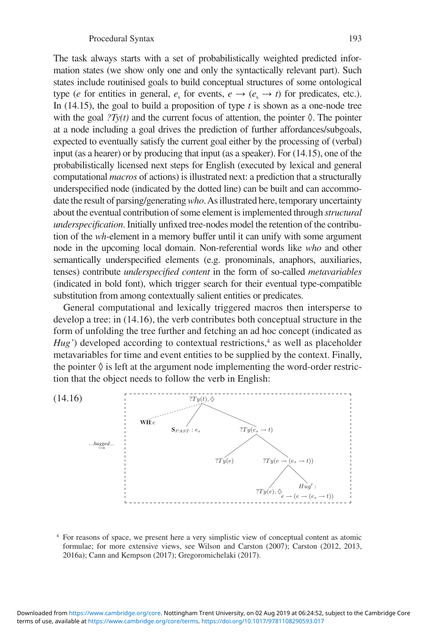The task always starts with a set of probabilistically weighted predicted information states (we show only one and only the syntactically relevant part). Such states include routinised goals to build conceptual structures of some ontological type (*e* for entities in general,  $e_s$  for events,  $e \rightarrow (e_s \rightarrow t)$  for predicates, etc.). In (14.15), the goal to build a proposition of type *t* is shown as a one-node tree with the goal  $?Ty(t)$  and the current focus of attention, the pointer  $\Diamond$ . The pointer at a node including a goal drives the prediction of further affordances/subgoals, expected to eventually satisfy the current goal either by the processing of (verbal) input (as a hearer) or by producing that input (as a speaker). For ( 14.15 ), one of the probabilistically licensed next steps for English (executed by lexical and general computational *macros* of actions) is illustrated next: a prediction that a structurally underspecified node (indicated by the dotted line) can be built and can accommodate the result of parsing/generating *who*. As illustrated here, temporary uncertainty about the eventual contribution of some element is implemented through *structural underspecification*. Initially unfixed tree-nodes model the retention of the contribution of the *wh* - element in a memory buffer until it can unify with some argument node in the upcoming local domain. Non- referential words like *who* and other semantically underspecified elements (e.g. pronominals, anaphors, auxiliaries, tenses) contribute *underspecified content* in the form of so-called *metavariables* (indicated in bold font), which trigger search for their eventual type-compatible substitution from among contextually salient entities or predicates.

 General computational and lexically triggered macros then intersperse to develop a tree: in (14.16), the verb contributes both conceptual structure in the form of unfolding the tree further and fetching an ad hoc concept (indicated as *Hug'*) developed according to contextual restrictions,<sup>4</sup> as well as placeholder metavariables for time and event entities to be supplied by the context. Finally, the pointer  $\Diamond$  is left at the argument node implementing the word-order restriction that the object needs to follow the verb in English:



 4 For reasons of space, we present here a very simplistic view of conceptual content as atomic formulae; for more extensive views, see Wilson and Carston (2007); Carston (2012, 2013, 2016a); Cann and Kempson (2017); Gregoromichelaki (2017).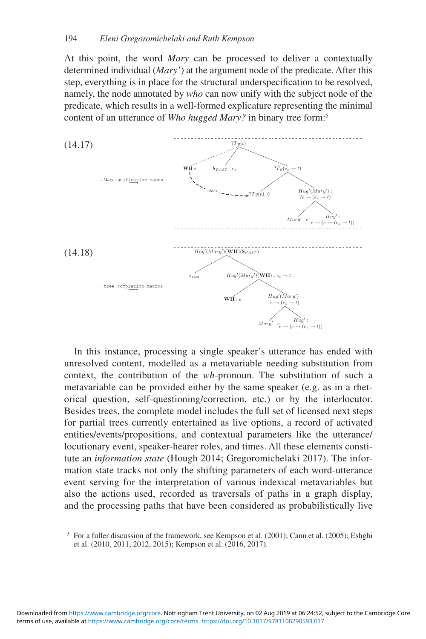At this point, the word *Mary* can be processed to deliver a contextually determined individual (*Mary'*) at the argument node of the predicate. After this step, everything is in place for the structural underspecification to be resolved, namely, the node annotated by *who* can now unify with the subject node of the predicate, which results in a well- formed explicature representing the minimal content of an utterance of *Who hugged Mary?* in binary tree form:<sup>5</sup>



 In this instance, processing a single speaker's utterance has ended with unresolved content, modelled as a metavariable needing substitution from context, the contribution of the *wh*-pronoun. The substitution of such a metavariable can be provided either by the same speaker (e.g. as in a rhetorical question, self-questioning/correction, etc.) or by the interlocutor. Besides trees, the complete model includes the full set of licensed next steps for partial trees currently entertained as live options, a record of activated entities/ events/ propositions, and contextual parameters like the utterance/ locutionary event, speaker-hearer roles, and times. All these elements constitute an *information state* (Hough 2014; Gregoromichelaki 2017). The information state tracks not only the shifting parameters of each word- utterance event serving for the interpretation of various indexical metavariables but also the actions used, recorded as traversals of paths in a graph display, and the processing paths that have been considered as probabilistically live

<sup>&</sup>lt;sup>5</sup> For a fuller discussion of the framework, see Kempson et al. (2001); Cann et al. (2005); Eshghi et al. (2010, 2011, 2012, 2015); Kempson et al. (2016, 2017).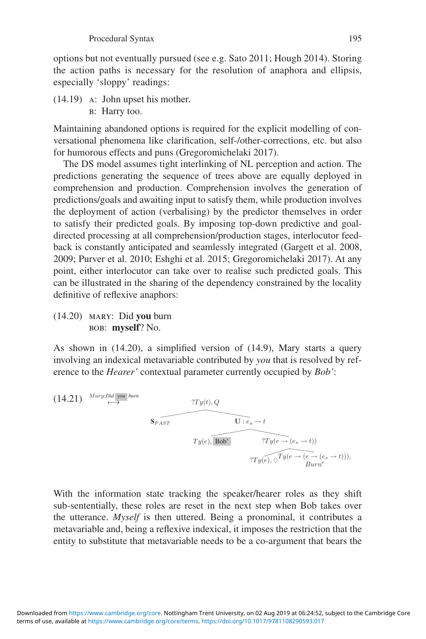options but not eventually pursued (see e.g. Sato 2011 ; Hough 2014 ). Storing the action paths is necessary for the resolution of anaphora and ellipsis, especially 'sloppy' readings:

- (14.19) A: John upset his mother.
	- B: Harry too.

 Maintaining abandoned options is required for the explicit modelling of conversational phenomena like clarification, self-/other-corrections, etc. but also for humorous effects and puns (Gregoromichelaki 2017).

 The DS model assumes tight interlinking of NL perception and action. The predictions generating the sequence of trees above are equally deployed in comprehension and production. Comprehension involves the generation of predictions/goals and awaiting input to satisfy them, while production involves the deployment of action (verbalising) by the predictor themselves in order to satisfy their predicted goals. By imposing top-down predictive and goaldirected processing at all comprehension/production stages, interlocutor feedback is constantly anticipated and seamlessly integrated (Gargett et al. 2008, 2009; Purver et al. 2010; Eshghi et al. 2015; Gregoromichelaki 2017). At any point, either interlocutor can take over to realise such predicted goals. This can be illustrated in the sharing of the dependency constrained by the locality definitive of reflexive anaphors:

# (14.20) Mary: Did **you** burn BOB: myself? No.

As shown in  $(14.20)$ , a simplified version of  $(14.9)$ , Mary starts a query involving an indexical metavariable contributed by *you* that is resolved by reference to the *Hearer'* contextual parameter currently occupied by *Bob'* :

(14.21) 
$$
\xrightarrow{\text{Mary:Did you burn}}
$$
  
\n $STy(t), Q$   
\n $Ty(e), \overbrace{Bob}$   
\n $TV(e), \overbrace{Bob}$   
\n $TVy(e), \overbrace{Cy(e \rightarrow (e_s \rightarrow t))}}{TVy(e), \sqrt{Ty(e \rightarrow (e \rightarrow (e_s \rightarrow t)))}},$ 

With the information state tracking the speaker/hearer roles as they shift sub- sententially, these roles are reset in the next step when Bob takes over the utterance. *Myself* is then uttered. Being a pronominal, it contributes a metavariable and, being a reflexive indexical, it imposes the restriction that the entity to substitute that metavariable needs to be a co-argument that bears the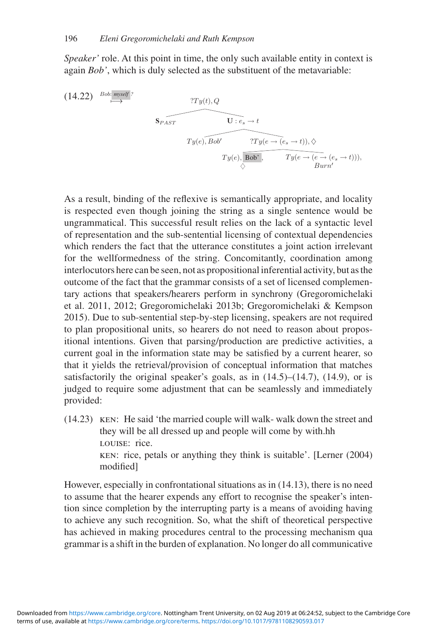*Speaker'* role. At this point in time, the only such available entity in context is again *Bob'* , which is duly selected as the substituent of the metavariable:

(14.22) 
$$
\xrightarrow{Bob: \text{myself}}
$$
 
$$
3 \overbrace{S_{PAST}}
$$
 
$$
\overbrace{U:e_s \rightarrow t}
$$
 
$$
Ty(e), \overbrace{Bob'} \overbrace{?Ty(e \rightarrow (e_s \rightarrow t)), \Diamond}_{?Ty(e \rightarrow (e_s \rightarrow t)), \Diamond}_{Burn'} \overbrace{y(e), \overbrace{Bob'}, \qquad Ty(e \rightarrow (e \rightarrow (e_s \rightarrow t))),}_{Burn'}
$$

As a result, binding of the reflexive is semantically appropriate, and locality is respected even though joining the string as a single sentence would be ungrammatical. This successful result relies on the lack of a syntactic level of representation and the sub- sentential licensing of contextual dependencies which renders the fact that the utterance constitutes a joint action irrelevant for the wellformedness of the string. Concomitantly, coordination among interlocutors here can be seen, not as propositional inferential activity, but as the outcome of the fact that the grammar consists of a set of licensed complementary actions that speakers/hearers perform in synchrony (Gregoromichelaki et al. 2011, 2012; Gregoromichelaki 2013b; Gregoromichelaki & Kempson 2015). Due to sub-sentential step-by-step licensing, speakers are not required to plan propositional units, so hearers do not need to reason about propositional intentions. Given that parsing/production are predictive activities, a current goal in the information state may be satisfied by a current hearer, so that it yields the retrieval/provision of conceptual information that matches satisfactorily the original speaker's goals, as in  $(14.5)$ – $(14.7)$ ,  $(14.9)$ , or is judged to require some adjustment that can be seamlessly and immediately provided:

 (14.23) Ken: He said 'the married couple will walk- walk down the street and they will be all dressed up and people will come by with.hh Louise: rice. KEN: rice, petals or anything they think is suitable'. [Lerner (2004) modified]

However, especially in confrontational situations as in  $(14.13)$ , there is no need to assume that the hearer expends any effort to recognise the speaker's intention since completion by the interrupting party is a means of avoiding having to achieve any such recognition. So, what the shift of theoretical perspective has achieved in making procedures central to the processing mechanism qua grammar is a shift in the burden of explanation. No longer do all communicative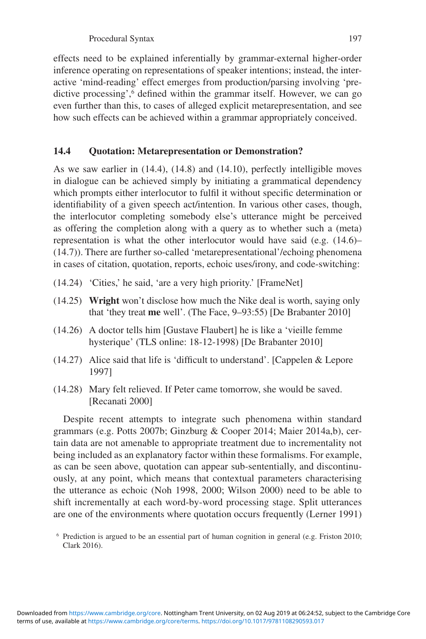Procedural Syntax 197

effects need to be explained inferentially by grammar-external higher-order inference operating on representations of speaker intentions; instead, the interactive 'mind-reading' effect emerges from production/parsing involving 'predictive processing',<sup>6</sup> defined within the grammar itself. However, we can go even further than this, to cases of alleged explicit metarepresentation, and see how such effects can be achieved within a grammar appropriately conceived.

## **14.4 Quotation: Metarepresentation or Demonstration?**

As we saw earlier in (14.4), (14.8) and (14.10), perfectly intelligible moves in dialogue can be achieved simply by initiating a grammatical dependency which prompts either interlocutor to fulfil it without specific determination or identifiability of a given speech act/intention. In various other cases, though, the interlocutor completing somebody else's utterance might be perceived as offering the completion along with a query as to whether such a (meta) representation is what the other interlocutor would have said  $(e.g. (14.6)$ ( 14.7 )). There are further so- called 'metarepresentational'/ echoing phenomena in cases of citation, quotation, reports, echoic uses/irony, and code-switching:

- (14.24) 'Cities,' he said, 'are a very high priority.' [FrameNet]
- (14.25) **Wright** won't disclose how much the Nike deal is worth, saying only that 'they treat me well'. (The Face, 9-93:55) [De Brabanter 2010]
- (14.26) A doctor tells him [Gustave Flaubert] he is like a 'vieille femme hysterique' (TLS online: 18-12-1998) [De Brabanter 2010]
- (14.27) Alice said that life is 'difficult to understand'. [Cappelen  $& Lepore$ 1997]
- (14.28) Mary felt relieved. If Peter came tomorrow, she would be saved. [Recanati 2000]

 Despite recent attempts to integrate such phenomena within standard grammars (e.g. Potts 2007b; Ginzburg & Cooper 2014; Maier 2014a,b), certain data are not amenable to appropriate treatment due to incrementality not being included as an explanatory factor within these formalisms. For example, as can be seen above, quotation can appear sub- sententially, and discontinuously, at any point, which means that contextual parameters characterising the utterance as echoic (Noh 1998, 2000; Wilson 2000) need to be able to shift incrementally at each word-by-word processing stage. Split utterances are one of the environments where quotation occurs frequently (Lerner 1991 )

<sup>&</sup>lt;sup>6</sup> Prediction is argued to be an essential part of human cognition in general (e.g. Friston 2010; Clark 2016).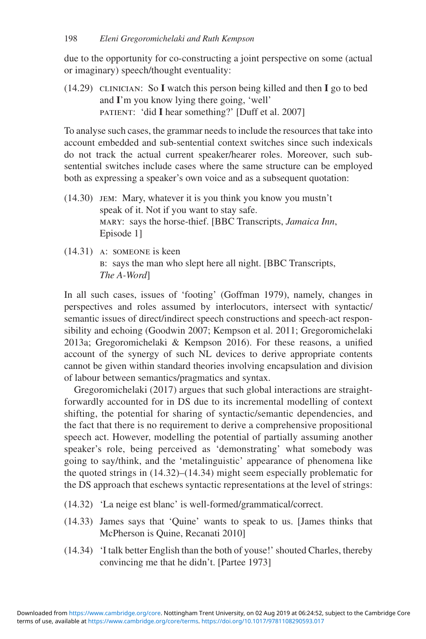due to the opportunity for co- constructing a joint perspective on some (actual or imaginary) speech/thought eventuality:

 (14.29) Clinician: So **I** watch this person being killed and then **I** go to bed and I'm you know lying there going, 'well' PATIENT: 'did **I** hear something?' [Duff et al. 2007]

 To analyse such cases, the grammar needs to include the resources that take into account embedded and sub- sentential context switches since such indexicals do not track the actual current speaker/hearer roles. Moreover, such subsentential switches include cases where the same structure can be employed both as expressing a speaker's own voice and as a subsequent quotation:

- (14.30) Jem: Mary, whatever it is you think you know you mustn't speak of it. Not if you want to stay safe. Mary: says the horse- thief. [BBC Transcripts, *Jamaica Inn* , Episode 1]
- (14.31) A: someone is keen B: says the man who slept here all night. [BBC Transcripts, *The A- Word* ]

In all such cases, issues of 'footing' (Goffman 1979), namely, changes in perspectives and roles assumed by interlocutors, intersect with syntactic/ semantic issues of direct/indirect speech constructions and speech-act responsibility and echoing (Goodwin 2007; Kempson et al. 2011; Gregoromichelaki 2013a; Gregoromichelaki & Kempson 2016). For these reasons, a unified account of the synergy of such NL devices to derive appropriate contents cannot be given within standard theories involving encapsulation and division of labour between semantics/pragmatics and syntax.

Gregoromichelaki (2017) argues that such global interactions are straightforwardly accounted for in DS due to its incremental modelling of context shifting, the potential for sharing of syntactic/semantic dependencies, and the fact that there is no requirement to derive a comprehensive propositional speech act. However, modelling the potential of partially assuming another speaker's role, being perceived as 'demonstrating' what somebody was going to say/ think, and the 'metalinguistic' appearance of phenomena like the quoted strings in  $(14.32)$ – $(14.34)$  might seem especially problematic for the DS approach that eschews syntactic representations at the level of strings:

- (14.32) 'La neige est blanc' is well-formed/grammatical/correct.
- (14.33) James says that 'Quine' wants to speak to us. [James thinks that McPherson is Quine, Recanati 2010]
- (14.34) 'I talk better English than the both of youse!' shouted Charles, thereby convincing me that he didn't. [Partee 1973]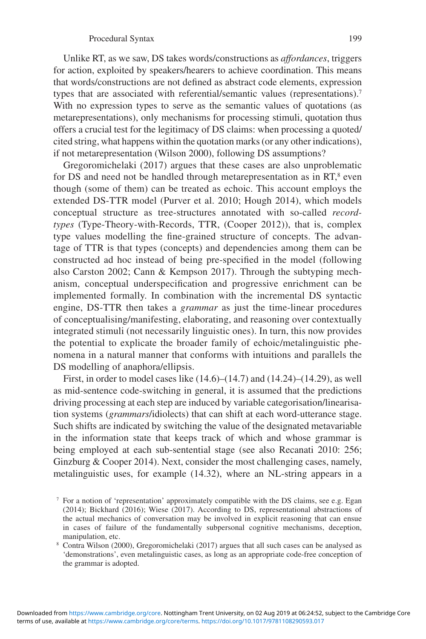#### Procedural Syntax 199

Unlike RT, as we saw, DS takes words/constructions as *affordances*, triggers for action, exploited by speakers/hearers to achieve coordination. This means that words/constructions are not defined as abstract code elements, expression types that are associated with referential/semantic values (representations).<sup>7</sup> With no expression types to serve as the semantic values of quotations (as metarepresentations), only mechanisms for processing stimuli, quotation thus offers a crucial test for the legitimacy of DS claims: when processing a quoted/ cited string, what happens within the quotation marks (or any other indications), if not metarepresentation (Wilson 2000), following DS assumptions?

Gregoromichelaki (2017) argues that these cases are also unproblematic for DS and need not be handled through metarepresentation as in  $RT$ , $8$  even though (some of them) can be treated as echoic. This account employs the extended DS-TTR model (Purver et al. 2010; Hough 2014), which models conceptual structure as tree- structures annotated with so- called *recordtypes* (Type-Theory-with-Records, TTR, (Cooper 2012)), that is, complex type values modelling the fine-grained structure of concepts. The advantage of TTR is that types (concepts) and dependencies among them can be constructed ad hoc instead of being pre-specified in the model (following also Carston 2002; Cann & Kempson 2017). Through the subtyping mechanism, conceptual underspecification and progressive enrichment can be implemented formally. In combination with the incremental DS syntactic engine, DS-TTR then takes a *grammar* as just the time-linear procedures of conceptualising/ manifesting, elaborating, and reasoning over contextually integrated stimuli (not necessarily linguistic ones). In turn, this now provides the potential to explicate the broader family of echoic/metalinguistic phenomena in a natural manner that conforms with intuitions and parallels the DS modelling of anaphora/ ellipsis.

First, in order to model cases like  $(14.6)$ – $(14.7)$  and  $(14.24)$ – $(14.29)$ , as well as mid- sentence code- switching in general, it is assumed that the predictions driving processing at each step are induced by variable categorisation/ linearisation systems (*grammars*/idiolects) that can shift at each word-utterance stage. Such shifts are indicated by switching the value of the designated metavariable in the information state that keeps track of which and whose grammar is being employed at each sub-sentential stage (see also Recanati 2010: 256; Ginzburg & Cooper 2014). Next, consider the most challenging cases, namely, metalinguistic uses, for example (14.32), where an NL-string appears in a

 <sup>7</sup> For a notion of 'representation' approximately compatible with the DS claims, see e.g. Egan (2014); Bickhard (2016); Wiese (2017). According to DS, representational abstractions of the actual mechanics of conversation may be involved in explicit reasoning that can ensue in cases of failure of the fundamentally subpersonal cognitive mechanisms, deception, manipulation, etc.

<sup>&</sup>lt;sup>8</sup> Contra Wilson (2000), Gregoromichelaki (2017) argues that all such cases can be analysed as 'demonstrations', even metalinguistic cases, as long as an appropriate code- free conception of the grammar is adopted.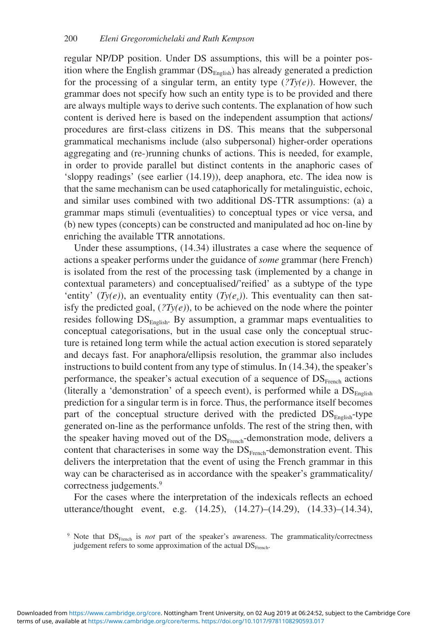regular NP/DP position. Under DS assumptions, this will be a pointer position where the English grammar (DS<sub>English</sub>) has already generated a prediction for the processing of a singular term, an entity type  $(?Ty(e))$ . However, the grammar does not specify how such an entity type is to be provided and there are always multiple ways to derive such contents. The explanation of how such content is derived here is based on the independent assumption that actions/ procedures are first-class citizens in DS. This means that the subpersonal grammatical mechanisms include (also subpersonal) higher- order operations aggregating and (re-)running chunks of actions. This is needed, for example, in order to provide parallel but distinct contents in the anaphoric cases of 'sloppy readings' (see earlier ( 14.19 )), deep anaphora, etc. The idea now is that the same mechanism can be used cataphorically for metalinguistic, echoic, and similar uses combined with two additional DS-TTR assumptions: (a) a grammar maps stimuli (eventualities) to conceptual types or vice versa, and (b) new types (concepts) can be constructed and manipulated ad hoc on- line by enriching the available TTR annotations.

Under these assumptions,  $(14.34)$  illustrates a case where the sequence of actions a speaker performs under the guidance of *some* grammar (here French) is isolated from the rest of the processing task (implemented by a change in contextual parameters) and conceptualised/'reified' as a subtype of the type 'entity'  $(Ty(e))$ , an eventuality entity  $(Ty(e_s))$ . This eventuality can then satisfy the predicted goal,  $(?Ty(e))$ , to be achieved on the node where the pointer resides following DS<sub>English</sub>. By assumption, a grammar maps eventualities to conceptual categorisations, but in the usual case only the conceptual structure is retained long term while the actual action execution is stored separately and decays fast. For anaphora/ ellipsis resolution, the grammar also includes instructions to build content from any type of stimulus. In (14.34), the speaker's performance, the speaker's actual execution of a sequence of  $DS<sub>French</sub>$  actions (literally a 'demonstration' of a speech event), is performed while a  $DS<sub>Enolish</sub>$ prediction for a singular term is in force. Thus, the performance itself becomes part of the conceptual structure derived with the predicted  $DS_{Enelish}$ -type generated on-line as the performance unfolds. The rest of the string then, with the speaker having moved out of the DS<sub>French</sub>-demonstration mode, delivers a content that characterises in some way the  $DS<sub>French</sub>$ -demonstration event. This delivers the interpretation that the event of using the French grammar in this way can be characterised as in accordance with the speaker's grammaticality/ correctness judgements.<sup>9</sup>

For the cases where the interpretation of the indexicals reflects an echoed utterance/thought event, e.g. (14.25), (14.27)–(14.29), (14.33)–(14.34),

<sup>&</sup>lt;sup>9</sup> Note that DS<sub>French</sub> is *not* part of the speaker's awareness. The grammaticality/correctness judgement refers to some approximation of the actual  $DS_{French}$ .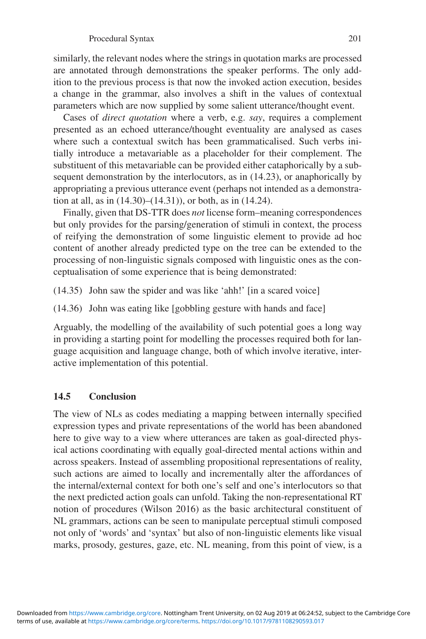similarly, the relevant nodes where the strings in quotation marks are processed are annotated through demonstrations the speaker performs. The only addition to the previous process is that now the invoked action execution, besides a change in the grammar, also involves a shift in the values of contextual parameters which are now supplied by some salient utterance/thought event.

 Cases of *direct quotation* where a verb, e.g. *say* , requires a complement presented as an echoed utterance/thought eventuality are analysed as cases where such a contextual switch has been grammaticalised. Such verbs initially introduce a metavariable as a placeholder for their complement. The substituent of this metavariable can be provided either cataphorically by a subsequent demonstration by the interlocutors, as in  $(14.23)$ , or anaphorically by appropriating a previous utterance event (perhaps not intended as a demonstration at all, as in  $(14.30)$ – $(14.31)$ ), or both, as in  $(14.24)$ .

Finally, given that DS-TTR does *not* license form–meaning correspondences but only provides for the parsing/generation of stimuli in context, the process of reifying the demonstration of some linguistic element to provide ad hoc content of another already predicted type on the tree can be extended to the processing of non- linguistic signals composed with linguistic ones as the conceptualisation of some experience that is being demonstrated:

(14.35) John saw the spider and was like 'ahh!' [in a scared voice]

(14.36) John was eating like [gobbling gesture with hands and face]

 Arguably, the modelling of the availability of such potential goes a long way in providing a starting point for modelling the processes required both for language acquisition and language change, both of which involve iterative, interactive implementation of this potential.

## **14.5 Conclusion**

The view of NLs as codes mediating a mapping between internally specified expression types and private representations of the world has been abandoned here to give way to a view where utterances are taken as goal-directed physical actions coordinating with equally goal- directed mental actions within and across speakers. Instead of assembling propositional representations of reality, such actions are aimed to locally and incrementally alter the affordances of the internal/ external context for both one's self and one's interlocutors so that the next predicted action goals can unfold. Taking the non-representational RT notion of procedures (Wilson 2016) as the basic architectural constituent of NL grammars, actions can be seen to manipulate perceptual stimuli composed not only of 'words' and 'syntax' but also of non- linguistic elements like visual marks, prosody, gestures, gaze, etc. NL meaning, from this point of view, is a